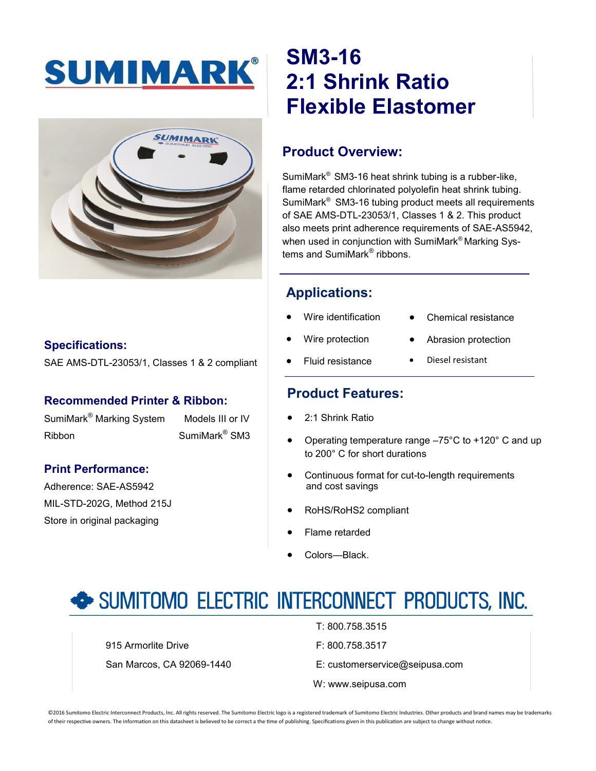



#### **Specifications:**

SAE AMS-DTL-23053/1, Classes 1 & 2 compliant

#### **Recommended Printer & Ribbon:**

SumiMark<sup>®</sup> Marking System Models III or IV Ribbon SumiMark® SM3

#### **Print Performance:**

Adherence: SAE-AS5942 MIL-STD-202G, Method 215J Store in original packaging

# **SM3-16 2:1 Shrink Ratio Flexible Elastomer**

# **Product Overview:**

SumiMark® SM3-16 heat shrink tubing is a rubber-like, flame retarded chlorinated polyolefin heat shrink tubing. SumiMark® SM3-16 tubing product meets all requirements of SAE AMS-DTL-23053/1, Classes 1 & 2. This product also meets print adherence requirements of SAE-AS5942, when used in conjunction with SumiMark® Marking Systems and SumiMark® ribbons.

# **Applications:**

- Wire identification
- Chemical resistance

Abrasion protection

- Wire protection
- Diesel resistant
- Fluid resistance

## **Product Features:**

- 2:1 Shrink Ratio
- Operating temperature range –75°C to +120° C and up to 200° C for short durations
- Continuous format for cut-to-length requirements and cost savings
- RoHS/RoHS2 compliant
- Flame retarded
- Colors—Black.

# SUMITOMO ELECTRIC INTERCONNECT PRODUCTS, INC.

915 Armorlite Drive **F: 800.758.3517** 

T: 800.758.3515

- San Marcos, CA 92069-1440 E: customerservice@seipusa.com
	- W: www.seipusa.com

©2016 Sumitomo Electric Interconnect Products, Inc. All rights reserved. The Sumitomo Electric logo is a registered trademark of Sumitomo Electric Industries. Other products and brand names may be trademarks of their respective owners. The information on this datasheet is believed to be correct a the time of publishing. Specifications given in this publication are subject to change without notice.